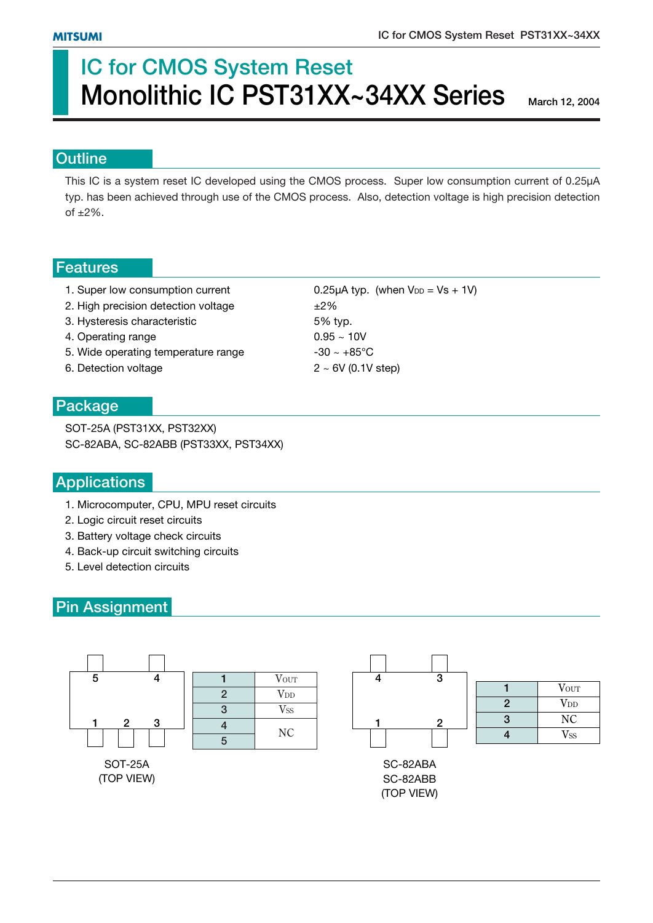# **IC for CMOS System Reset Monolithic IC PST31XX~34XX Series**

**March 12, 2004**

#### **Outline**

This IC is a system reset IC developed using the CMOS process. Super low consumption current of 0.25µA typ. has been achieved through use of the CMOS process. Also, detection voltage is high precision detection of  $\pm 2\%$ .

#### **Features**

- 1. Super low consumption current 0.25 $\mu$ A typ. (when V<sub>DD</sub> = Vs + 1V)
- 2. High precision detection voltage  $\pm 2\%$
- 3. Hysteresis characteristic 6 and 5% typ.
- 4. Operating range  $0.95 \sim 10V$
- 5. Wide operating temperature range  $-30 \sim +85^{\circ}$ C
- 6. Detection voltage  $2 \sim 6V (0.1V \text{ step})$

#### **Package**

SOT-25A (PST31XX, PST32XX) SC-82ABA, SC-82ABB (PST33XX, PST34XX)

### **Applications**

- 1. Microcomputer, CPU, MPU reset circuits
- 2. Logic circuit reset circuits
- 3. Battery voltage check circuits
- 4. Back-up circuit switching circuits
- 5. Level detection circuits

### **Pin Assignment**

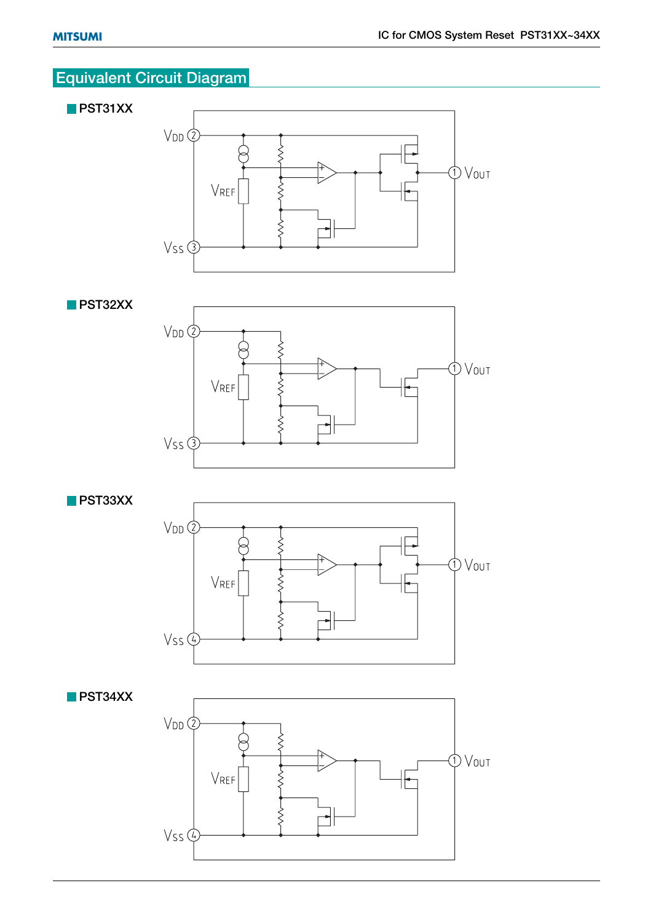# **Equivalent Circuit Diagram**







**PST33XX**





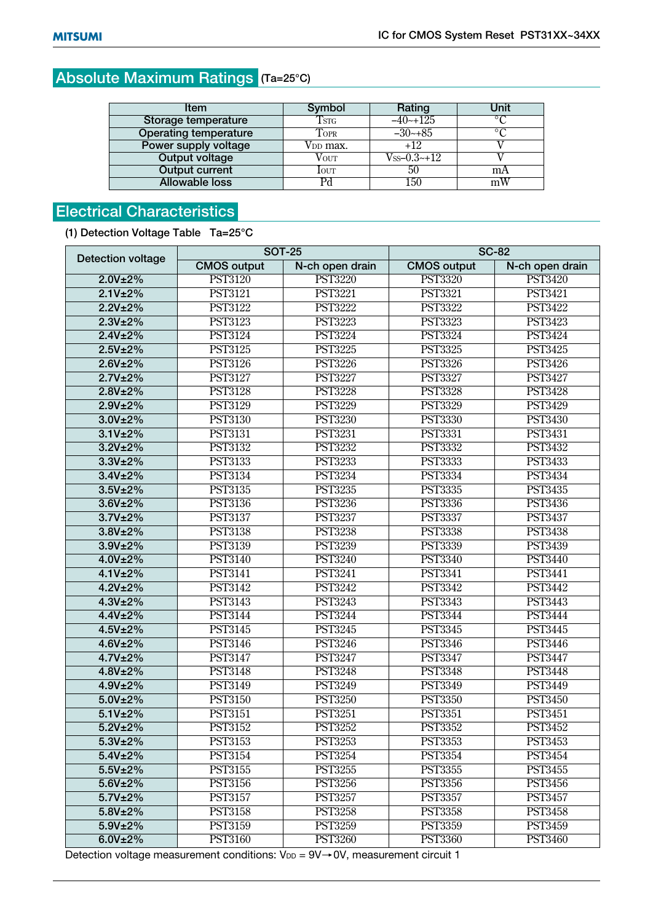# **Absolute Maximum Ratings (Ta=25°C)**

| <b>Item</b>                  | Symbol                | Rating            | Unit           |  |
|------------------------------|-----------------------|-------------------|----------------|--|
| Storage temperature          | $\operatorname{Tsrc}$ | $-40$ $-125$      | $\circ$ $\cap$ |  |
| <b>Operating temperature</b> | TOPR                  | $-30-85$          | $\circ$ $\cap$ |  |
| Power supply voltage         | VDD max.              | $+12$             |                |  |
| <b>Output voltage</b>        | Vout                  | $V_{SS}$ -0.3~+12 |                |  |
| <b>Output current</b>        | <b>l</b> out          | 50                | mA             |  |
| <b>Allowable loss</b>        |                       | 150               | mW             |  |

# **Electrical Characteristics**

**(1) Detection Voltage Table Ta=25°C**

| <b>Detection voltage</b> |                      | <b>SOT-25</b>   | <b>SC-82</b>       |                 |  |  |  |
|--------------------------|----------------------|-----------------|--------------------|-----------------|--|--|--|
|                          | <b>CMOS output</b>   | N-ch open drain | <b>CMOS output</b> | N-ch open drain |  |  |  |
| 2.0V±2%                  | <b>PST3120</b>       | <b>PST3220</b>  | <b>PST3320</b>     | <b>PST3420</b>  |  |  |  |
| 2.1V±2%                  | <b>PST3121</b>       | <b>PST3221</b>  | <b>PST3321</b>     | <b>PST3421</b>  |  |  |  |
| 2.2V±2%                  | <b>PST3122</b>       | <b>PST3222</b>  | <b>PST3322</b>     | <b>PST3422</b>  |  |  |  |
| 2.3V±2%                  | <b>PST3123</b>       | <b>PST3223</b>  | <b>PST3323</b>     | <b>PST3423</b>  |  |  |  |
| 2.4V±2%                  | <b>PST3124</b>       | <b>PST3224</b>  | <b>PST3324</b>     | <b>PST3424</b>  |  |  |  |
| 2.5V±2%                  | <b>PST3125</b>       | <b>PST3225</b>  | <b>PST3325</b>     | <b>PST3425</b>  |  |  |  |
| 2.6V±2%                  | <b>PST3126</b>       | <b>PST3226</b>  | <b>PST3326</b>     | <b>PST3426</b>  |  |  |  |
| 2.7V±2%                  | <b>PST3127</b>       | <b>PST3227</b>  | <b>PST3327</b>     | <b>PST3427</b>  |  |  |  |
| 2.8V±2%                  | <b>PST3128</b>       | <b>PST3228</b>  | <b>PST3328</b>     | <b>PST3428</b>  |  |  |  |
| 2.9V±2%                  | <b>PST3129</b>       | <b>PST3229</b>  | <b>PST3329</b>     | <b>PST3429</b>  |  |  |  |
| 3.0V±2%                  | <b>PST3130</b>       | <b>PST3230</b>  | <b>PST3330</b>     | <b>PST3430</b>  |  |  |  |
| 3.1V±2%                  | <b>PST3131</b>       | <b>PST3231</b>  | <b>PST3331</b>     | <b>PST3431</b>  |  |  |  |
| 3.2V±2%                  | <b>PST3132</b>       | <b>PST3232</b>  | <b>PST3332</b>     | <b>PST3432</b>  |  |  |  |
| 3.3V±2%                  | <b>PST3133</b>       | <b>PST3233</b>  | <b>PST3333</b>     | <b>PST3433</b>  |  |  |  |
| 3.4V±2%                  | <b>PST3134</b>       | <b>PST3234</b>  | <b>PST3334</b>     | PST3434         |  |  |  |
| 3.5V±2%                  | <b>PST3135</b>       | <b>PST3235</b>  | <b>PST3335</b>     | <b>PST3435</b>  |  |  |  |
| 3.6V±2%                  | <b>PST3136</b>       | <b>PST3236</b>  | <b>PST3336</b>     | <b>PST3436</b>  |  |  |  |
| 3.7V±2%                  | <b>PST3137</b>       | <b>PST3237</b>  | <b>PST3337</b>     | <b>PST3437</b>  |  |  |  |
| 3.8V±2%                  | <b>PST3138</b>       | <b>PST3238</b>  | <b>PST3338</b>     | <b>PST3438</b>  |  |  |  |
| 3.9V±2%                  | <b>PST3139</b>       | <b>PST3239</b>  | <b>PST3339</b>     | <b>PST3439</b>  |  |  |  |
| 4.0V±2%                  | <b>PST3140</b>       | <b>PST3240</b>  | <b>PST3340</b>     | <b>PST3440</b>  |  |  |  |
| 4.1V±2%                  | <b>PST3141</b>       | <b>PST3241</b>  | <b>PST3341</b>     | <b>PST3441</b>  |  |  |  |
| 4.2V±2%                  | PST3142              | <b>PST3242</b>  | <b>PST3342</b>     | <b>PST3442</b>  |  |  |  |
| 4.3V±2%                  | <b>PST3143</b>       | <b>PST3243</b>  | <b>PST3343</b>     | <b>PST3443</b>  |  |  |  |
| 4.4V±2%                  | <b>PST3144</b>       | <b>PST3244</b>  | <b>PST3344</b>     | <b>PST3444</b>  |  |  |  |
| 4.5V±2%                  | <b>PST3145</b>       | <b>PST3245</b>  | <b>PST3345</b>     | <b>PST3445</b>  |  |  |  |
| 4.6V±2%                  | <b>PST3146</b>       | <b>PST3246</b>  | <b>PST3346</b>     | <b>PST3446</b>  |  |  |  |
| 4.7V±2%                  | <b>PST3147</b>       | <b>PST3247</b>  | <b>PST3347</b>     | <b>PST3447</b>  |  |  |  |
| 4.8V±2%                  | $\overline{PST3148}$ | <b>PST3248</b>  | <b>PST3348</b>     | <b>PST3448</b>  |  |  |  |
| 4.9V±2%                  | <b>PST3149</b>       | <b>PST3249</b>  | <b>PST3349</b>     | <b>PST3449</b>  |  |  |  |
| 5.0V±2%                  | <b>PST3150</b>       | <b>PST3250</b>  | <b>PST3350</b>     | <b>PST3450</b>  |  |  |  |
| 5.1V±2%                  | <b>PST3151</b>       | <b>PST3251</b>  | <b>PST3351</b>     | <b>PST3451</b>  |  |  |  |
| 5.2V±2%                  | <b>PST3152</b>       | <b>PST3252</b>  | <b>PST3352</b>     | <b>PST3452</b>  |  |  |  |
| 5.3V±2%                  | <b>PST3153</b>       | <b>PST3253</b>  | <b>PST3353</b>     | <b>PST3453</b>  |  |  |  |
| 5.4V±2%                  | <b>PST3154</b>       | <b>PST3254</b>  | <b>PST3354</b>     | <b>PST3454</b>  |  |  |  |
| $5.5V_{\pm}2\%$          | <b>PST3155</b>       | <b>PST3255</b>  | <b>PST3355</b>     | <b>PST3455</b>  |  |  |  |
| 5.6V±2%                  | PST3156              | <b>PST3256</b>  | <b>PST3356</b>     | PST3456         |  |  |  |
| 5.7V±2%                  | <b>PST3157</b>       | <b>PST3257</b>  | <b>PST3357</b>     | <b>PST3457</b>  |  |  |  |
| 5.8V±2%                  | <b>PST3158</b>       | <b>PST3258</b>  | <b>PST3358</b>     | <b>PST3458</b>  |  |  |  |
| 5.9V±2%                  | <b>PST3159</b>       | <b>PST3259</b>  | <b>PST3359</b>     | <b>PST3459</b>  |  |  |  |
| 6.0V±2%                  | PST3160              | <b>PST3260</b>  | <b>PST3360</b>     | PST3460         |  |  |  |

Detection voltage measurement conditions:  $V_{DD} = 9V \rightarrow 0V$ , measurement circuit 1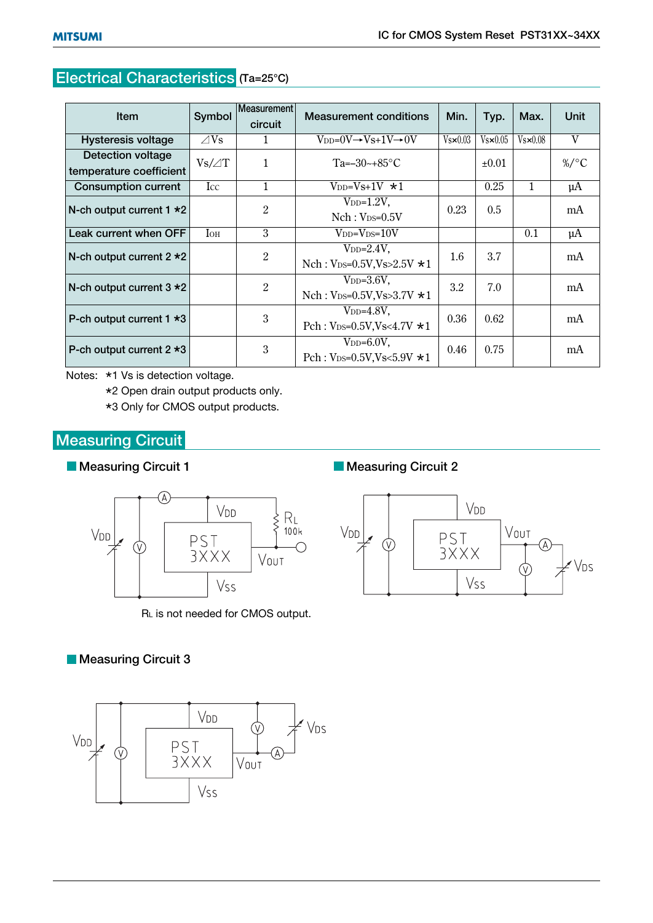# **Electrical Characteristics (Ta=25°C)**

| <b>Item</b>                                  | Symbol         | <b>Measurement</b><br>circuit | <b>Measurement conditions</b>                                  | Min.              | Typ.             | Max.             | <b>Unit</b> |
|----------------------------------------------|----------------|-------------------------------|----------------------------------------------------------------|-------------------|------------------|------------------|-------------|
| <b>Hysteresis voltage</b>                    | $\triangle$ Vs | 1                             | $V_{DD}=0V \rightarrow Vs+1V \rightarrow 0V$                   | $V_s \times 0.03$ | $Vs \times 0.05$ | $Vs \times 0.08$ | V           |
| Detection voltage<br>temperature coefficient | $Vs/\angle T$  | $\mathbf{1}$                  | $Ta = -30 \rightarrow +85$ °C                                  |                   | $\pm 0.01$       |                  | $\%$ /°C    |
| <b>Consumption current</b>                   | $_{\rm Lcc}$   | $\mathbf{1}$                  | $V_{DD}=Vs+1V \star 1$                                         |                   | 0.25             | $\mathbf{1}$     | $\mu$ A     |
| N-ch output current $1 * 2$                  |                | $\overline{2}$                | $V_{DD}=1.2V$ ,<br>$Nch: V_{DS}=0.5V$                          | 0.23              | 0.5              |                  | mA          |
| Leak current when OFF                        | $I_{OH}$       | 3                             | $V_{DD} = V_{DS} = 10V$                                        |                   |                  | 0.1              | $\mu$ A     |
| N-ch output current $2 * 2$                  |                | $\overline{2}$                | $V_{DD}=2.4V$ ,<br>Nch: $V_{DS}=0.5V$ , $V_s>2.5V$ $\star$ 1   | 1.6               | 3.7              |                  | mA          |
| N-ch output current $3 \star 2$              |                | 2                             | $V_{DD}=3.6V$ ,<br>Nch: $V_{DS}=0.5V$ , $V_s>3.7V$ $\star 1$   | 3.2               | 7.0              |                  | mA          |
| P-ch output current $1 * 3$                  |                | 3                             | $V_{DD}=4.8V$ ,<br>Pch: $V_{DS}=0.5V$ , $V_s < 4.7V$ $\star 1$ | 0.36              | 0.62             |                  | mA          |
| P-ch output current $2 * 3$                  |                | 3                             | $V_{DD}=6.0V$ ,<br>Pch: $V_{DS}=0.5V$ , $V_s<5.9V$ $\star$ 1   | 0.46              | 0.75             |                  | mA          |

Notes: \*1 Vs is detection voltage.

\*2 Open drain output products only.

\*3 Only for CMOS output products.

## **Measuring Circuit**

#### **Measuring Circuit 1**



RL is not needed for CMOS output.

#### **Measuring Circuit 2**



### **Measuring Circuit 3**

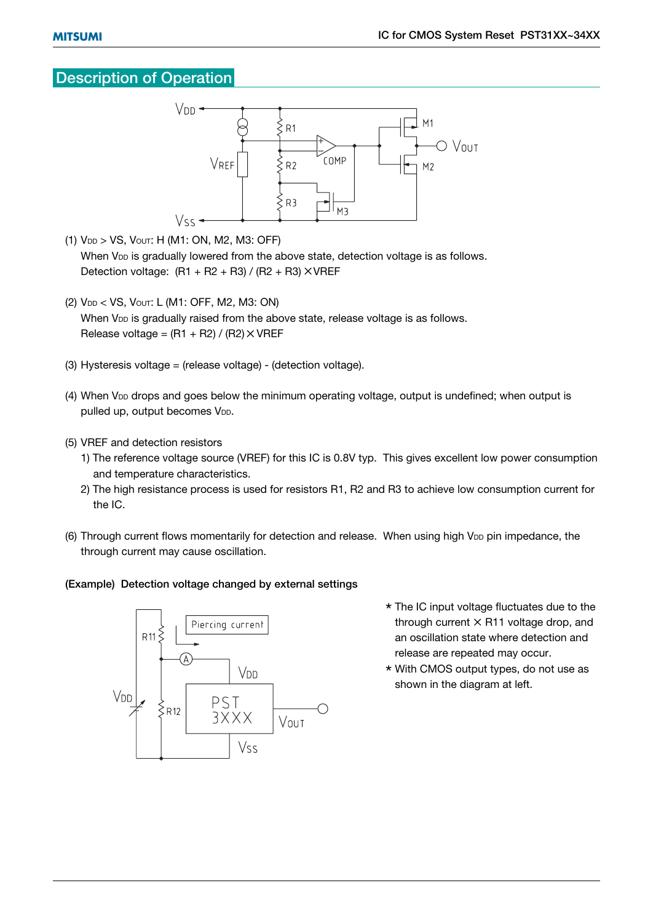#### **Description of Operation**



- (1) VDD > VS, VOUT: H (M1: ON, M2, M3: OFF) When V<sub>DD</sub> is gradually lowered from the above state, detection voltage is as follows. Detection voltage:  $(R1 + R2 + R3) / (R2 + R3) \times VREF$
- (2) VDD < VS, VOUT: L (M1: OFF, M2, M3: ON) When V<sub>DD</sub> is gradually raised from the above state, release voltage is as follows. Release voltage =  $(R1 + R2) / (R2) \times VREF$
- (3) Hysteresis voltage = (release voltage) (detection voltage).
- (4) When V<sub>DD</sub> drops and goes below the minimum operating voltage, output is undefined; when output is pulled up, output becomes V<sub>DD</sub>.
- (5) VREF and detection resistors
	- 1) The reference voltage source (VREF) for this IC is 0.8V typ. This gives excellent low power consumption and temperature characteristics.
	- 2) The high resistance process is used for resistors R1, R2 and R3 to achieve low consumption current for the IC.
- (6) Through current flows momentarily for detection and release. When using high V<sub>DD</sub> pin impedance, the through current may cause oscillation.

#### **(Example) Detection voltage changed by external settings**



- \* The IC input voltage fluctuates due to the through current  $\times$  R11 voltage drop, and an oscillation state where detection and release are repeated may occur.
- \* With CMOS output types, do not use as shown in the diagram at left.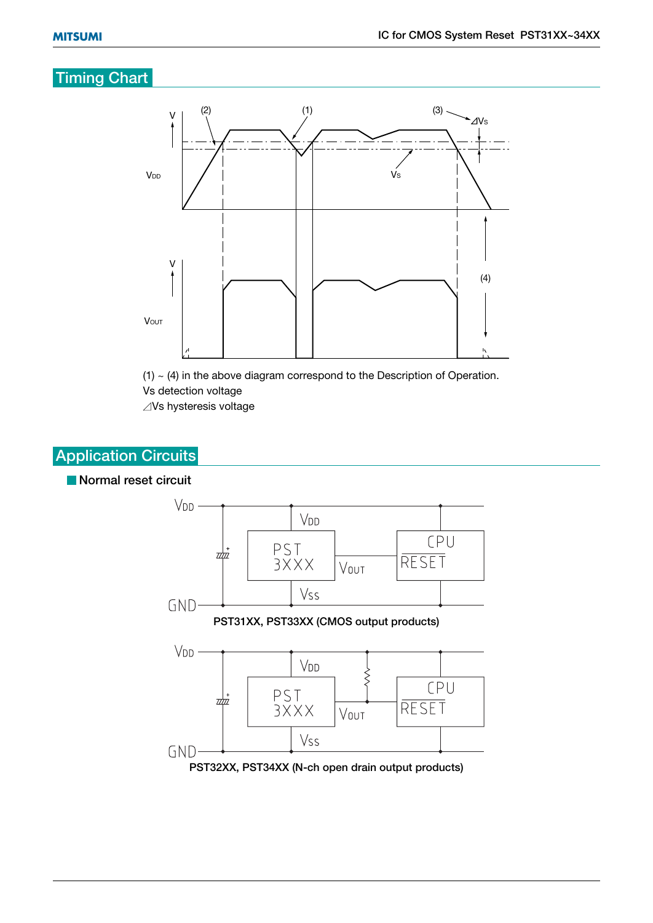## **Timing Chart**



 $(1)$   $\sim$  (4) in the above diagram correspond to the Description of Operation. Vs detection voltage  $\angle$ Vs hysteresis voltage

# **Application Circuits**

#### **Normal reset circuit**

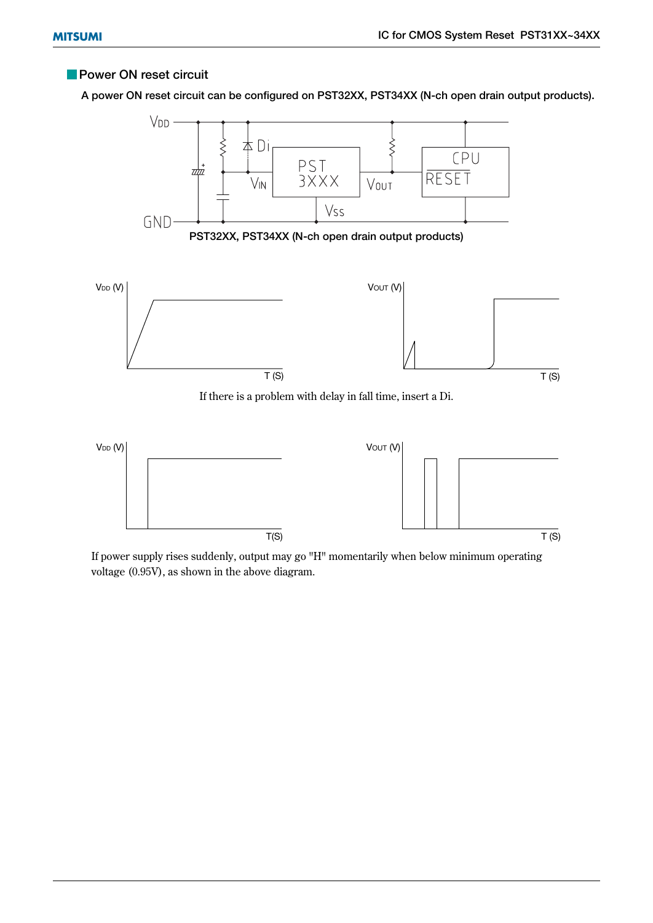#### **Power ON reset circuit**

**A power ON reset circuit can be configured on PST32XX, PST34XX (N-ch open drain output products).**



If power supply rises suddenly, output may go "H" momentarily when below minimum operating voltage (0.95V), as shown in the above diagram.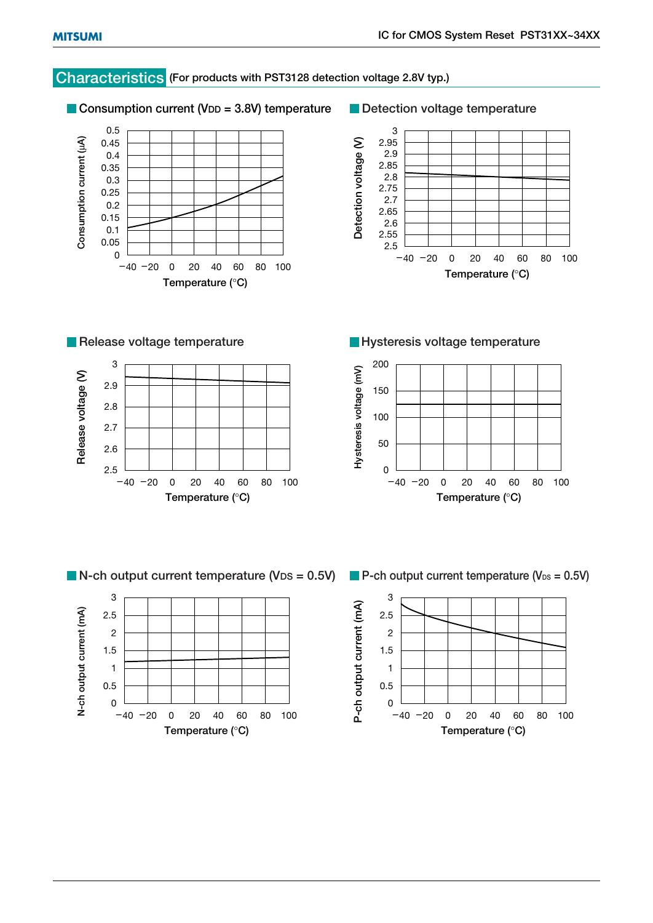#### **Characteristics (For products with PST3128 detection voltage 2.8V typ.)**

■ Consumption current (V<sub>DD</sub> = 3.8V) temperature





**Release voltage temperature** 



**Hysteresis voltage temperature**





**N-ch output current temperature (VDS = 0.5V)** P-ch output current temperature (V<sub>DS</sub> = 0.5V)